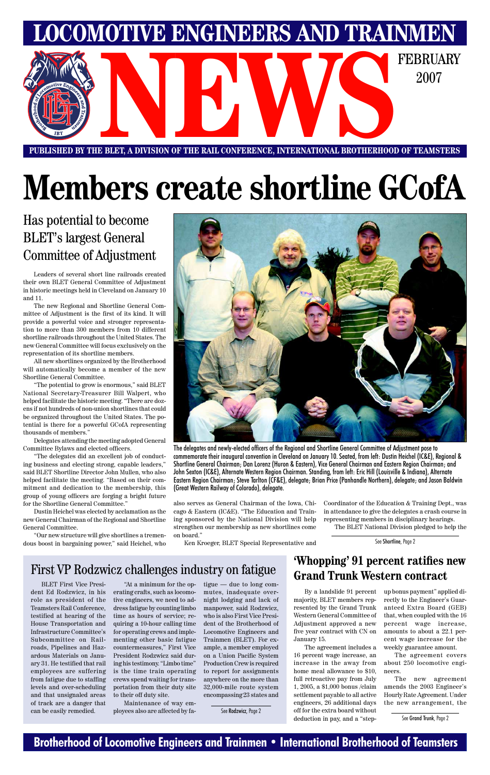### **Brotherhood of Locomotive Engineers and Trainmen • International Brotherhood of Teamsters**

**LOCOMOTIVE ENGINEERS AND TRAINMEN** E BLET, A DIVISION OF THE RAIL CONFERENCE, INTERNATIONAL BROTHERHOOD OF TEAMSTERS 2007

**PUBLISHED BY THE BLET, A DIVISION OF THE RAIL CONFERENCE, INTERNATIONAL BROTHERHOOD OF TEAMSTERS**

# **Members create shortline GCofA**

Has potential to become BLET's largest General Committee of Adjustment

See Shortline, Page 2

Leaders of several short line railroads created their own BLET General Committee of Adjustment in historic meetings held in Cleveland on January 10 and 11.

The new Regional and Shortline General Committee of Adjustment is the first of its kind. It will provide a powerful voice and stronger representation to more than 300 members from 10 different shortline railroads throughout the United States. The new General Committee will focus exclusively on the representation of its shortline members.

All new shortlines organized by the Brotherhood will automatically become a member of the new Shortline General Committee.

"The potential to grow is enormous," said BLET National Secretary-Treasurer Bill Walpert, who helped facilitate the historic meeting. "There are dozens if not hundreds of non-union shortlines that could be organized throughout the United States. The potential is there for a powerful GCofA representing thousands of members."

Delegates attending the meeting adopted General Committee Bylaws and elected officers.

"The delegates did an excellent job of conducting business and electing strong, capable leaders," said BLET Shortline Director John Mullen, who also helped facilitate the meeting. "Based on their commitment and dedication to the membership, this group of young officers are forging a bright future for the Shortline General Committee."

Dustin Heichel was elected by acclamation as the new General Chairman of the Regional and Shortline General Committee.

"Our new structure will give shortlines a tremendous boost in bargaining power," said Heichel, who

also serves as General Chairman of the Iowa, Chicago & Eastern (IC&E). "The Education and Training sponsored by the National Division will help strengthen our membership as new shortlines come on board."

Ken Kroeger, BLET Special Representative and

Coordinator of the Education & Training Dept., was in attendance to give the delegates a crash course in representing members in disciplinary hearings. The BLET National Division pledged to help the



The delegates and newly-elected officers of the Regional and Shortline General Committee of Adjustment pose to commemorate their inaugural convention in Cleveland on January 10. Seated, from left: Dustin Heichel (IC&E), Regional & Shortline General Chairman; Dan Lorenz (Huron & Eastern), Vice General Chairman and Eastern Region Chairman; and John Sexton (IC&E), Alternate Western Region Chairman. Standing, from left: Eric Hill (Louisville & Indiana), Alternate Eastern Region Chairman; Steve Tarlton (CF&E), delegate; Brian Price (Panhandle Northern), delegate; and Jason Baldwin (Great Western Railway of Colorado), delegate.

BLET First Vice President Ed Rodzwicz, in his role as president of the Teamsters Rail Conference, testified at hearing of the House Transportation and Infrastructure Committee's Subcommittee on Railroads, Pipelines and Hazardous Materials on January 31. He testified that rail employees are suffering from fatigue due to staffing levels and over-scheduling and that unsignaled areas of track are a danger that can be easily remedied.

"At a minimum for the operating crafts, such as locomotive engineers, we need to address fatigue by counting limbo time as hours of service; requiring a 10-hour calling time for operating crews and implementing other basic fatigue countermeasures," First Vice President Rodzwicz said during his testimony. "Limbo time" is the time train operating crews spend waiting for transportation from their duty site to their off duty site.

Maintenance of way employees also are affected by fa-

tigue — due to long commutes, inadequate overnight lodging and lack of manpower, said Rodzwicz, who is also First Vice President of the Brotherhood of Locomotive Engineers and Trainmen (BLET). For example, a member employed on a Union Pacific System Production Crew is required to report for assignments anywhere on the more than 32,000-mile route system encompassing 23 states and

# First VP Rodzwicz challenges industry on fatigue

See Rodzwicz, Page 2

### **'Whopping' 91 percent ratifies new**

### **Grand Trunk Western contract**

By a landslide 91 percent majority, BLET members represented by the Grand Trunk Western General Committee of Adjustment approved a new five year contract with CN on January 15.

The agreement includes a 16 percent wage increase, an increase in the away from home meal allowance to \$10, full retroactive pay from July 1, 2005, a \$1,000 bonus /claim settlement payable to all active engineers, 26 additional days off for the extra board without deduction in pay, and a "stepup bonus payment" applied directly to the Engineer's Guaranteed Extra Board (GEB) that, when coupled with the 16 percent wage increase, amounts to about a 22.1 percent wage increase for the weekly guarantee amount.

The agreement covers about 250 locomotive engineers.

The new agreement amends the 2003 Engineer's Hourly Rate Agreement. Under the new arrangement, the

See Grand Trunk, Page 2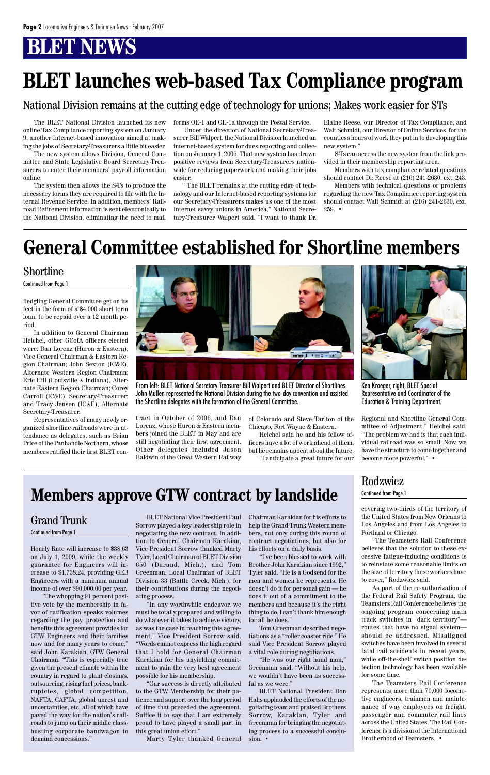fledgling General Committee get on its feet in the form of a \$4,000 short term loan, to be repaid over a 12 month period.

In addition to General Chairman Heichel, other GCofA officers elected were: Dan Lorenz (Huron & Eastern), Vice General Chairman & Eastern Region Chairman; John Sexton (IC&E), Alternate Western Region Chairman; Eric Hill (Louisville & Indiana), Alternate Eastern Region Chairman; Corey Carroll (IC&E), Secretary-Treasurer; and Tracy Jensen (IC&E), Alternate Secretary-Treasurer.

Representatives of many newly organized shortline railroads were in attendance as delegates, such as Brian Price of the Panhandle Northern, whose members ratified their first BLET contract in October of 2006, and Dan Lorenz, whose Huron & Eastern members joined the BLET in May and are still negotiating their first agreement. Other delegates included Jason Baldwin of the Great Western Railway

#### Shortline

Continued from Page 1

of Colorado and Steve Tarlton of the Chicago, Fort Wayne & Eastern.

Heichel said he and his fellow officers have a lot of work ahead of them, but he remains upbeat about the future.

"I anticipate a great future for our

Regional and Shortline General Committee of Adjustment," Heichel said. "The problem we had is that each individual railroad was so small. Now, we have the structure to come together and become more powerful." •



Ken Kroeger, right, BLET Special Representative and Coordinator of the Education & Training Department.



From left: BLET National Secretary-Treasurer Bill Walpert and BLET Director of Shortlines John Mullen represented the National Division during the two-day convention and assisted the Shortline delegates with the formation of the General Committee.

# **General Committee established for Shortline members**

covering two-thirds of the territory of the United States from New Orleans to Los Angeles and from Los Angeles to Portland or Chicago.

"The Teamsters Rail Conference believes that the solution to these excessive fatigue-inducing conditions is to reinstate some reasonable limits on

the size of territory these workers have to cover," Rodzwicz said.

As part of the re-authorization of the Federal Rail Safety Program, the Teamsters Rail Conference believes the ongoing program concerning main track switches in "dark territory" routes that have no signal system should be addressed. Misaligned switches have been involved in several fatal rail accidents in recent years, while off-the-shelf switch position detection technology has been available for some time.

The Teamsters Rail Conference represents more than 70,000 locomotive engineers, trainmen and maintenance of way employees on freight, passenger and commuter rail lines across the United States. The Rail Conference is a division of the International Brotherhood of Teamsters. •

### Rodzwicz

#### Continued from Page 1

Hourly Rate will increase to \$38.63 on July 1, 2009, while the weekly guarantee for Engineers will increase to \$1,738.24, providing GEB Engineers with a minimum annual income of over \$90,000.00 per year. "The whopping 91 percent positive vote by the membership in favor of ratification speaks volumes regarding the pay, protection and benefits this agreement provides for GTW Engineers and their families now and for many years to come," said John Karakian, GTW General Chairman. "This is especially true given the present climate within the country in regard to plant closings, outsourcing, rising fuel prices, bankruptcies, global competition, NAFTA, CAFTA, global unrest and uncertainties, etc, all of which have paved the way for the nation's railroads to jump on their middle classbusting corporate bandwagon to demand concessions."

BLET National Vice President Paul Sorrow played a key leadership role in negotiating the new contract. In addition to General Chairman Karakian, Vice President Sorrow thanked Marty Tyler, Local Chairman of BLET Division 650 (Durand, Mich.), and Tom

Greenman, Local Chairman of BLET Division 33 (Battle Creek, Mich.), for their contributions during the negotiating process.

"In any worthwhile endeavor, we must be totally prepared and willing to do whatever it takes to achieve victory, as was the case in reaching this agreement," Vice President Sorrow said. "Words cannot express the high regard that I hold for General Chairman Karakian for his unyielding commitment to gain the very best agreement possible for his membership.

"Our success is directly attributed to the GTW Membership for their patience and support over the long period of time that preceded the agreement. Suffice it to say that I am extremely proud to have played a small part in this great union effort."

Marty Tyler thanked General

Chairman Karakian for his efforts to help the Grand Trunk Western members, not only during this round of contract negotiations, but also for his efforts on a daily basis.

"I've been blessed to work with Brother John Karakian since 1992,"

Tyler said. "He is a Godsend for the men and women he represents. He doesn't do it for personal gain — he does it out of a commitment to the members and because it's the right thing to do. I can't thank him enough for all he does."

Tom Greenman described negotiations as a "roller coaster ride." He said Vice President Sorrow played a vital role during negotiations.

"He was our right hand man," Greenman said. "Without his help, we wouldn't have been as successful as we were."

BLET National President Don Hahs applauded the efforts of the negotiating team and praised Brothers Sorrow, Karakian, Tyler and Greenman for bringing the negotiating process to a successful conclusion. •

#### Grand Trunk Continued from Page 1

# **Members approve GTW contract by landslide**

The BLET National Division launched its new online Tax Compliance reporting system on January 9, another Internet-based innovation aimed at making the jobs of Secretary-Treasurers a little bit easier.

The new system allows Division, General Committee and State Legislative Board Secretary-Treasurers to enter their members' payroll information online.

The system then allows the S-Ts to produce the necessary forms they are required to file with the Internal Revenue Service. In addition, members' Railroad Retirement information is sent electronically to the National Division, eliminating the need to mail

forms OE-1 and OE-1a through the Postal Service.

Under the direction of National Secretary-Treasurer Bill Walpert, the National Division launched an internet-based system for dues reporting and collection on January 1, 2005. That new system has drawn positive reviews from Secretary-Treasurers nationwide for reducing paperwork and making their jobs easier.

"The BLET remains at the cutting edge of technology and our Internet-based reporting systems for our Secretary-Treasurers makes us one of the most Internet savvy unions in America," National Secretary-Treasurer Walpert said. "I want to thank Dr.

Elaine Reese, our Director of Tax Compliance, and Walt Schmidt, our Director of Online Services, for the countless hours of work they put in to developing this new system."

S-Ts can access the new system from the link provided in their membership reporting area.

Members with tax compliance related questions should contact Dr. Reese at (216) 241-2630, ext. 243.

Members with technical questions or problems regarding the new Tax Compliance reporting system should contact Walt Schmidt at (216) 241-2630, ext. 259. •

# **BLET launches web-based Tax Compliance program**

#### National Division remains at the cutting edge of technology for unions; Makes work easier for STs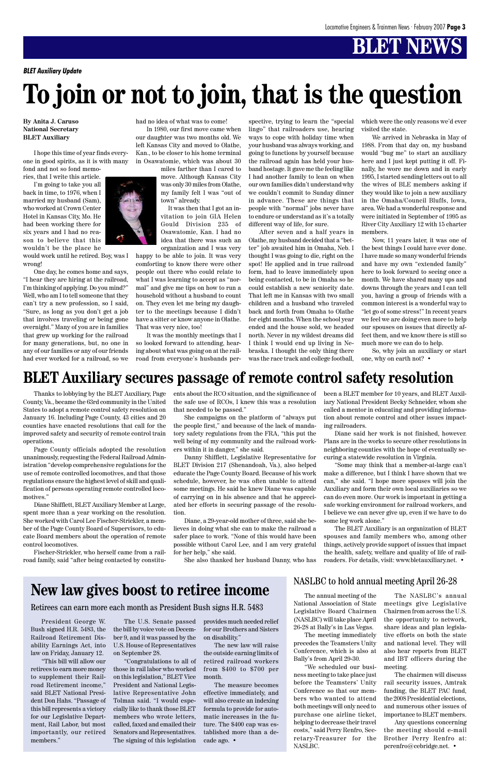**By Anita J. Caruso National Secretary BLET Auxiliary**

I hope this time of year finds everyone in good spirits, as it is with many

fond and not so fond memories, that I write this article.

I'm going to take you all back in time, to 1976, when I married my husband (Sam), who worked at Crown Center Hotel in Kansas City, Mo. He had been working there for six years and I had no reason to believe that this wouldn't be the place he

would work until he retired. Boy, was I wrong!

One day, he comes home and says, "I hear they are hiring at the railroad, I'm thinking of applying. Do you mind?" Well, who am I to tell someone that they can't try a new profession, so I said, "Sure, as long as you don't get a job that involves traveling or being gone overnight." Many of you are in families that grew up working for the railroad for many generations, but, no one in any of our families or any of our friends had ever worked for a railroad, so we



had no idea of what was to come!

In 1980, our first move came when our daughter was two months old. We left Kansas City and moved to Olathe, Kan., to be closer to his home terminal in Osawatomie, which was about 30

miles farther than I cared to move. Although Kansas City was only 30 miles from Olathe, my family felt I was "out of town" already.

It was then that I got an invitation to join GIA Helen Gould Division 235 of Osawatomie, Kan. I had no idea that there was such an organization and I was very

happy to be able to join. It was very comforting to know there were other people out there who could relate to what I was learning to accept as "normal" and give me tips on how to run a household without a husband to count on. They even let me bring my daughter to the meetings because I didn't have a sitter or know anyone in Olathe. That was very nice, too!

It was the monthly meetings that I so looked forward to attending, hearing about what was going on at the railroad from everyone's husbands perspective, trying to learn the "special lingo" that railroaders use, hearing ways to cope with holiday time when your husband was always working, and going to functions by yourself because the railroad again has held your husband hostage. It gave me the feeling like I had another family to lean on when our own families didn't understand why we couldn't commit to Sunday dinner in advance. These are things that people with "normal" jobs never have to endure or understand as it's a totally different way of life, for sure.

After seven and a half years in Olathe, my husband decided that a "better" job awaited him in Omaha, Neb. I thought I was going to die, right on the spot! He applied and in true railroad form, had to leave immediately upon being contacted, to be in Omaha so he could establish a new seniority date. That left me in Kansas with two small children and a husband who traveled back and forth from Omaha to Olathe for eight months. When the school year ended and the house sold, we headed north. Never in my wildest dreams did I think I would end up living in Nebraska. I thought the only thing there was the race track and college football, which were the only reasons we'd ever visited the state.

We arrived in Nebraska in May of 1988. From that day on, my husband would "bug me" to start an auxiliary here and I just kept putting it off. Finally, he wore me down and in early 1995, I started sending letters out to all the wives of BLE members asking if they would like to join a new auxiliary in the Omaha/Council Bluffs, Iowa, area. We had a wonderful response and were initiated in September of 1995 as River City Auxiliary 12 with 15 charter members.

Now, 11 years later, it was one of the best things I could have ever done. I have made so many wonderful friends and have my own "extended family" here to look forward to seeing once a month. We have shared many ups and downs through the years and I can tell you, having a group of friends with a common interest is a wonderful way to "let go of some stress!" In recent years we feel we are doing even more to help our spouses on issues that directly affect them, and we know there is still so much more we can do to help.

So, why join an auxiliary or start one, why on earth not? •

Thanks to lobbying by the BLET Auxiliary, Page County, Va., became the 63rd community in the United States to adopt a remote control safety resolution on January 16. Including Page County, 43 cities and 20 counties have enacted resolutions that call for the improved safety and security of remote control train operations.

Page County officials adopted the resolution unanimously, requesting the Federal Railroad Administration "develop comprehensive regulations for the use of remote controlled locomotives, and that those regulations ensure the highest level of skill and qualification of persons operating remote controlled locomotives."

Diane Shifflett, BLET Auxiliary Member at Large, spent more than a year working on the resolution. She worked with Carol Lee Fischer-Strickler, a member of the Page County Board of Supervisors, to educate Board members about the operation of remote control locomotives.

Fischer-Strickler, who herself came from a railroad family, said "after being contacted by constituents about the RCO situation, and the significance of the safe use of RCOs, I knew this was a resolution that needed to be passed."

She campaigns on the platform of "always put the people first," and because of the lack of mandatory safety regulations from the FRA, "this put the well being of my community and the railroad workers within it in danger," she said.

Danny Shifflett, Legislative Representative for BLET Division 217 (Shenandoah, Va.), also helped educate the Page County Board. Because of his work schedule, however, he was often unable to attend some meetings. He said he knew Diane was capable of carrying on in his absence and that he appreciated her efforts in securing passage of the resolution.

Diane, a 29-year-old mother of three, said she believes in doing what she can to make the railroad a safer place to work. "None of this would have been possible without Carol Lee, and I am very grateful for her help," she said.

She also thanked her husband Danny, who has

been a BLET member for 10 years, and BLET Auxiliary National President Becky Schneider, whom she called a mentor in educating and providing information about remote control and other issues impacting railroaders.

Diane said her work is not finished, however. Plans are in the works to secure other resolutions in neighboring counties with the hope of eventually securing a statewide resolution in Virginia.

"Some may think that a member-at-large can't make a difference, but I think I have shown that we can," she said. "I hope more spouses will join the Auxiliary and form their own local auxiliaries so we can do even more. Our work is important in getting a safe working environment for railroad workers, and I believe we can never give up, even if we have to do some leg work alone."

The BLET Auxiliary is an organization of BLET spouses and family members who, among other things, actively provide support of issues that impact the health, safety, welfare and quality of life of railroaders. For details, visit: www.bletauxiliary.net. •

## **BLET Auxiliary secures passage of remote control safety resolution**

*BLET Auxiliary Update*

# **To join or not to join, that is the question**

President George W. Bush signed H.R. 5483, the Railroad Retirement Disability Earnings Act, into law on Friday, January 12.

"This bill will allow our retirees to earn more money to supplement their Railroad Retirement income," said BLET National President Don Hahs. "Passage of this bill represents a victory for our Legislative Department, Rail Labor, but most importantly, our retired members."

The U.S. Senate passed the bill by voice vote on December 9, and it was passed by the U.S. House of Representatives on September 28.

"Congratulations to all of those in rail labor who worked on this legislation," BLET Vice President and National Legislative Representative John Tolman said. "I would especially like to thank those BLET members who wrote letters, called, faxed and emailed their Senators and Representatives. The signing of this legislation

The annual meeting of the National Association of State Legislative Board Chairmen (NASLBC) will take place April 26-28 at Bally's in Las Vegas.

The meeting immediately precedes the Teamsters Unity Conference, which is also at Bally's from April 29-30.

"We scheduled our business meeting to take place just before the Teamsters' Unity Conference so that our members who wanted to attend both meetings will only need to purchase one airline ticket, helping to decrease their travel costs," said Perry Renfro, Secretary-Treasurer for the NASLBC.

provides much needed relief for our Brothers and Sisters on disability."

The new law will raise the outside earning limits of retired railroad workers from \$400 to \$700 per month.

The measure becomes effective immediately, and will also create an indexing formula to provide for automatic increases in the future. The \$400 cap was established more than a decade ago. •

The NASLBC's annual meetings give Legislative Chairmen from across the U.S. the opportunity to network, share ideas and plan legislative efforts on both the state and national level. They will also hear reports from BLET and IBT officers during the meeting.

The chairmen will discuss rail security issues, Amtrak funding, the BLET PAC fund, the 2008 Presidential elections, and numerous other issues of importance to BLET members.

Any questions concerning the meeting should e-mail Brother Perry Renfro at: pcrenfro@cebridge.net. •

#### NASLBC to hold annual meeting April 26-28

#### Retirees can earn more each month as President Bush signs H.R. 5483

## **New law gives boost to retiree income**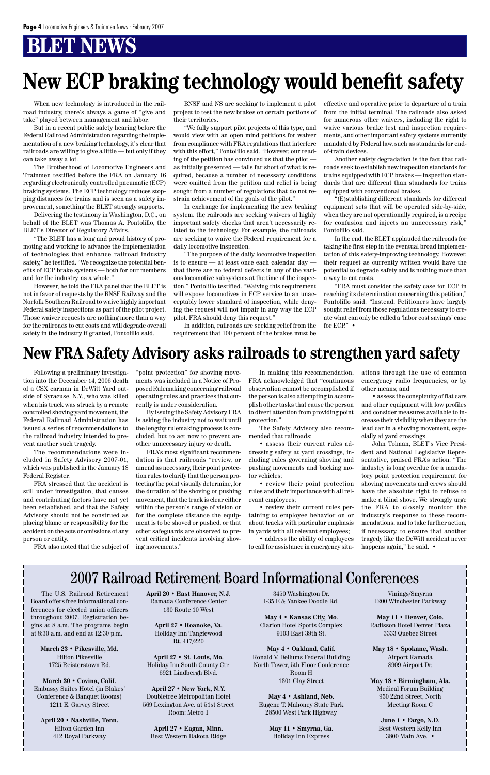When new technology is introduced in the railroad industry, there's always a game of "give and take" played between management and labor.

But in a recent public safety hearing before the Federal Railroad Administration regarding the implementation of a new braking technology, it's clear that railroads are willing to give a little — but only if they can take away a lot.

The Brotherhood of Locomotive Engineers and Trainmen testified before the FRA on January 16 regarding electronically controlled pneumatic (ECP) braking systems. The ECP technology reduces stopping distances for trains and is seen as a safety improvement, something the BLET strongly supports.

Delivering the testimony in Washington, D.C., on behalf of the BLET was Thomas A. Pontolillo, the BLET's Director of Regulatory Affairs.

"The BLET has a long and proud history of promoting and working to advance the implementation of technologies that enhance railroad industry safety," he testified. "We recognize the potential benefits of ECP brake systems — both for our members and for the industry, as a whole."

However, he told the FRA panel that the BLET is not in favor of requests by the BNSF Railway and the Norfolk Southern Railroad to waive highly important Federal safety inspections as part of the pilot project. Those waiver requests are nothing more than a way for the railroads to cut costs and will degrade overall safety in the industry if granted, Pontolillo said.

BNSF and NS are seeking to implement a pilot project to test the new brakes on certain portions of their territories.

"We fully support pilot projects of this type, and would view with an open mind petitions for waiver from compliance with FRA regulations that interfere with this effort," Pontolillo said. "However, our reading of the petition has convinced us that the pilot as initially presented — falls far short of what is required, because a number of necessary conditions were omitted from the petition and relief is being sought from a number of regulations that do not restrain achievement of the goals of the pilot."

> "FRA must consider the safety case for ECP in reaching its determination concerning this petition," Pontolillo said. "Instead, Petitioners have largely sought relief from those regulations necessary to create what can only be called a 'labor cost savings' case for ECP." •

In exchange for implementing the new braking system, the railroads are seeking waivers of highly important safety checks that aren't necessarily related to the technology. For example, the railroads are seeking to waive the Federal requirement for a daily locomotive inspection.

"The purpose of the daily locomotive inspection is to ensure — at least once each calendar day that there are no federal defects in any of the various locomotive subsystems at the time of the inspection," Pontolillo testified. "Waiving this requirement will expose locomotives in ECP service to an unacceptably lower standard of inspection, while denying the request will not impair in any way the ECP pilot. FRA should deny this request."

In addition, railroads are seeking relief from the requirement that 100 percent of the brakes must be effective and operative prior to departure of a train from the initial terminal. The railroads also asked for numerous other waivers, including the right to waive various brake test and inspection requirements, and other important safety systems currently mandated by Federal law, such as standards for endof-train devices.

Another safety degradation is the fact that railroads seek to establish new inspection standards for trains equipped with ECP brakes — inspection standards that are different than standards for trains equipped with conventional brakes.

> John Tolman, BLET's Vice President and National Legislative Representative, praised FRA's action. "The industry is long overdue for a mandatory point protection requirement for shoving movements and crews should have the absolute right to refuse to make a blind shove. We strongly urge the FRA to closely monitor the industry's response to these recommendations, and to take further action, if necessary, to ensure that another tragedy like the DeWitt accident never happens again," he said. •

"(E)stablishing different standards for different equipment sets that will be operated side-by-side, when they are not operationally required, is a recipe for confusion and injects an unnecessary risk," Pontolillo said.

In the end, the BLET applauded the railroads for taking the first step in the eventual broad implementation of this safety-improving technology. However, their request as currently written would have the potential to degrade safety and is nothing more than a way to cut costs.

# **New ECP braking technology would benefit safety**

Following a preliminary investigation into the December 14, 2006 death of a CSX carman in DeWitt Yard outside of Syracuse, N.Y., who was killed when his truck was struck by a remote controlled shoving yard movement, the Federal Railroad Administration has issued a series of recommendations to the railroad industry intended to prevent another such tragedy.

The recommendations were included in Safety Advisory 2007-01, which was published in the January 18 Federal Register.

FRA stressed that the accident is still under investigation, that causes and contributing factors have not yet been established, and that the Safety Advisory should not be construed as placing blame or responsibility for the accident on the acts or omissions of any person or entity.

FRA also noted that the subject of

"point protection" for shoving movements was included in a Notice of Proposed Rulemaking concerning railroad operating rules and practices that currently is under consideration.

By issuing the Safety Advisory, FRA is asking the industry not to wait until the lengthy rulemaking process is concluded, but to act now to prevent another unnecessary injury or death.

FRA's most significant recommendation is that railroads "review, or amend as necessary, their point protection rules to clarify that the person protecting the point visually determine, for the duration of the shoving or pushing movement, that the track is clear either within the person's range of vision or for the complete distance the equipment is to be shoved or pushed, or that other safeguards are observed to prevent critical incidents involving shoving movements."

In making this recommendation, FRA acknowledged that "continuous observation cannot be accomplished if the person is also attempting to accomplish other tasks that cause the person to divert attention from providing point protection."

The Safety Advisory also recommended that railroads:

• assess their current rules addressing safety at yard crossings, including rules governing shoving and pushing movements and backing motor vehicles;

• review their point protection rules and their importance with all relevant employees;

• review their current rules pertaining to employee behavior on or about tracks with particular emphasis in yards with all relevant employees;

• address the ability of employees to call for assistance in emergency situations through the use of common emergency radio frequencies, or by other means; and

• assess the conspicuity of flat cars and other equipment with low profiles and consider measures available to increase their visibility when they are the lead car in a shoving movement, especially at yard crossings.

## **New FRA Safety Advisory asks railroads to strengthen yard safety**

The U.S. Railroad Retirement Board offers free informational conferences for elected union officers throughout 2007. Registration begins at 8 a.m. The programs begin at 8:30 a.m. and end at 12:30 p.m.

> **March 23 • Pikesville, Md.** Hilton Pikesville 1725 Reisterstown Rd.

**March 30 • Covina, Calif.** Embassy Suites Hotel (in Blakes' Conference & Banquet Rooms) 1211 E. Garvey Street

**April 20 • Nashville, Tenn.** Hilton Garden Inn 412 Royal Parkway

**April 20 • East Hanover, N.J.** Ramada Conference Center 130 Route 10 West

**April 27 • Roanoke, Va.** Holiday Inn Tanglewood Rt. 417/220

**April 27 • St. Louis, Mo.** Holiday Inn South County Ctr. 6921 Lindbergh Blvd.

**April 27 • New York, N.Y.** Doubletree Metropolitan Hotel 569 Lexington Ave. at 51st Street Room: Metro 1

**April 27 • Eagan, Minn.** Best Western Dakota Ridge

3450 Washington Dr. I-35 E & Yankee Doodle Rd.

**May 4 • Kansas City, Mo.** Clarion Hotel Sports Complex 9103 East 39th St.

**May 4 • Oakland, Calif.** Ronald V. Dellums Federal Building North Tower, 5th Floor Conference Room H 1301 Clay Street

**May 4 • Ashland, Neb.** Eugene T. Mahoney State Park 28500 West Park Highway

> **May 11 • Smyrna, Ga.** Holiday Inn Express

Vinings/Smyrna 1200 Winchester Parkway

**May 11 • Denver, Colo.** Radisson Hotel Denver Plaza 3333 Quebec Street

**May 18 • Spokane, Wash.** Airport Ramada 8909 Airport Dr.

**May 18 • Birmingham, Ala.** Medical Forum Building 950 22nd Street, North Meeting Room C

> **June 1 • Fargo, N.D.** Best Western Kelly Inn 3800 Main Ave. •

## 2007 Railroad Retirement Board Informational Conferences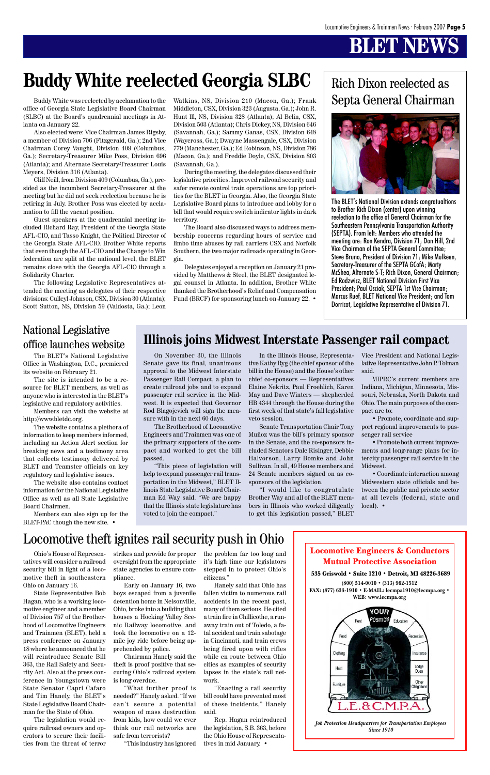Locomotive Engineers & Conductors Mutual Protective Association



**(800) 514-0010 • (313) 962-1512 FAX: (877) 633-1910 • E-MAIL: lecmpa1910@lecmpa.org • WEB: www.lecmpa.org**



*Job Protection Headquarters for Transportation Employees Since 1910*

The BLET's National Division extends congratualtions to Brother Rich Dixon (center) upon winning reelection to the office of General Chairman for the Southeastern Pennsylvania Transportation Authority (SEPTA). From left: Members who attended the meeting are: Ron Kendra, Division 71; Don Hill, 2nd Vice Chairman of the SEPTA General Committee; Steve Bruno, President of Division 71; Mike Mulkeen, Secretary-Treasurer of the SEPTA GCofA; Marty McShea, Alternate S-T; Rich Dixon, General Chairman; Ed Rodzwicz, BLET National Division First Vice President; Paul Osciak, SEPTA 1st Vice Chairman; Marcus Ruef, BLET National Vice President; and Tom Dorricot, Legislative Representative of Division 71.

# Rich Dixon reelected as



(SLBC) at the Board's quadrennial meetings in Atlanta on January 22.

Buddy White was reelected by acclamation to the Watkins, NS, Division 210 (Macon, Ga.); Frank Septa General Chairman office of Georgia State Legislative Board Chairman Middleton, CSX, Division 323 (Augusta, Ga.); John R. Watkins, NS, Division 210 (Macon, Ga.); Frank Middleton, CSX, Division 323 (Augusta, Ga.); John R. Hunt lll, NS, Division 328 (Atlanta); Al Belin, CSX, Division 503 (Atlanta); Chris Dickey, NS, Division 646 (Savannah, Ga.); Sammy Ganas, CSX, Division 648 (Waycross, Ga.); Dwayne Massengale, CSX, Division 779 (Manchester, Ga.); Ed Robinson, NS, Division 786 (Macon, Ga.); and Freddie Doyle, CSX, Division 803 (Savannah, Ga.).

Also elected were: Vice Chairman James Rigsby, a member of Division 706 (Fitzgerald, Ga.); 2nd Vice Chairman Corey Vaught, Division 409 (Columbus, Ga.); Secretary-Treasurer Mike Poss, Division 696 (Atlanta); and Alternate Secretary-Treasurer Louis Meyers, Division 316 (Atlanta).

Cliff Neill, from Division 409 (Columbus, Ga.), presided as the incumbent Secretary-Treasurer at the meeting but he did not seek reelection because he is retiring in July. Brother Poss was elected by acclamation to fill the vacant position.

tatives will consider a railroad — oversight from the appropriate — it's high time our legislators security bill in light of a locomotive theft in southeastern Ohio on January 16.

Guest speakers at the quadrennial meeting included Richard Ray, President of the Georgia State AFL-CIO, and Tasso Knight, the Political Director of the Georgia State AFL-CIO. Brother White reports that even though the AFL-CIO and the Change to Win federation are split at the national level, the BLET remains close with the Georgia AFL-CIO through a Solidarity Charter.

The following Legislative Representatives attended the meeting as delegates of their respective divisions: Culleyl Johnson, CSX, Division 30 (Atlanta); Scott Sutton, NS, Division 59 (Valdosta, Ga.); Leon

During the meeting, the delegates discussed their legislative priorities. Improved railroad security and safer remote control train operations are top priorities for the BLET in Georgia. Also, the Georgia State Legislative Board plans to introduce and lobby for a bill that would require switch indicator lights in dark territory.

The Board also discussed ways to address membership concerns regarding hours of service and limbo time abuses by rail carriers CSX and Norfolk Southern, the two major railroads operating in Georgia.

Delegates enjoyed a reception on January 21 provided by Matthews & Steel, the BLET designated legal counsel in Atlanta. In addition, Brother White thanked the Brotherhood's Relief and Compensation Fund (BRCF) for sponsoring lunch on January 22. •

# **Buddy White reelected Georgia SLBC**

### **Illinois joins Midwest Interstate Passenger rail compact**

State Representative Bob Hagan, who is a working locomotive engineer and a member of Division 757 of the Brotherhood of Locomotive Engineers and Trainmen (BLET), held a press conference on January 18 where he announced that he will reintroduce Senate Bill 363, the Rail Safety and Security Act. Also at the press conference in Youngstown were State Senator Capri Cafaro and Tim Hanely, the BLET's State Legislative Board Chairman for the State of Ohio.

Members can also sign up for the BLET-PAC though the new site. •

The legislation would require railroad owners and operators to secure their facilities from the threat of terror

Ohio's House of Represen-strikes and provide for proper the problem far too long and

state agencies to ensure compliance.

Early on January 16, two boys escaped from a juvenile detention home in Nelsonville, Ohio, broke into a building that houses a Hocking Valley Scenic Railway locomotive, and took the locomotive on a 12 mile joy ride before being apprehended by police.

Chairman Hanely said the theft is proof positive that securing Ohio's railroad system is long overdue.

"What further proof is needed?" Hanely asked. "If we can't secure a potential weapon of mass destruction from kids, how could we ever think our rail networks are safe from terrorists?

"This industry has ignored

stepped in to protect Ohio's citizens."

Hanely said that Ohio has fallen victim to numerous rail accidents in the recent past, many of them serious. He cited a train fire in Chillicothe, a runaway train out of Toledo, a fatal accident and train sabotage in Cincinnati, and train crews being fired upon with rifles while en route between Ohio cities as examples of security lapses in the state's rail network.

"Enacting a rail security bill could have prevented most of these incidents," Hanely said.

Rep. Hagan reintroduced the legislation, S.B. 363, before the Ohio House of Representatives in mid January. •

## Locomotive theft ignites rail security push in Ohio

On November 30, the Illinois Senate gave its final, unanimous approval to the Midwest Interstate Passenger Rail Compact, a plan to create railroad jobs and to expand passenger rail service in the Midwest. It is expected that Governor Rod Blagojevich will sign the measure with in the next 60 days.

The Brotherhood of Locomotive Engineers and Trainmen was one of the primary supporters of the compact and worked to get the bill passed.

"This piece of legislation will help to expand passenger rail transportation in the Midwest," BLET Illinois State Legislative Board Chairman Ed Way said. "We are happy that the Illinois state legislature has voted to join the compact."

In the Illinois House, Representative Kathy Ryg (the chief sponsor of the bill in the House) and the House's other chief co-sponsors — Representatives Elaine Nekritz, Paul Froehlich, Karen May and Dave Winters — shepherded HB 4344 through the House during the first week of that state's fall legislative veto session.

Senate Transportation Chair Tony Muñoz was the bill's primary sponsor in the Senate, and the co-sponsors included Senators Dale Risinger, Debbie Halvorson, Larry Bomke and John Sullivan. In all, 49 House members and 24 Senate members signed on as cosponsors of the legislation.

"I would like to congratulate Brother Way and all of the BLET members in Illinois who worked diligently to get this legislation passed," BLET

Vice President and National Legislative Representative John P. Tolman said.

MIPRC's current members are Indiana, Michigan, Minnesota, Missouri, Nebraska, North Dakota and Ohio. The main purposes of the compact are to:

• Promote, coordinate and support regional improvements to passenger rail service

• Promote both current improvements and long-range plans for intercity passenger rail service in the Midwest.

• Coordinate interaction among Midwestern state officials and between the public and private sector at all levels (federal, state and local). •

### National Legislative office launches website

The BLET's National Legislative Office in Washington, D.C., premiered its website on February 21.

The site is intended to be a resource for BLET members, as well as anyone who is interested in the BLET's legislative and regulatory activities.

Members can visit the website at http://www.bletdc.org.

The website contains a plethora of information to keep members informed, including an Action Alert section for breaking news and a testimony area that collects testimony delivered by BLET and Teamster officials on key regulatory and legislative issues.

The website also contains contact information for the National Legislative Office as well as all State Legislative Board Chairmen.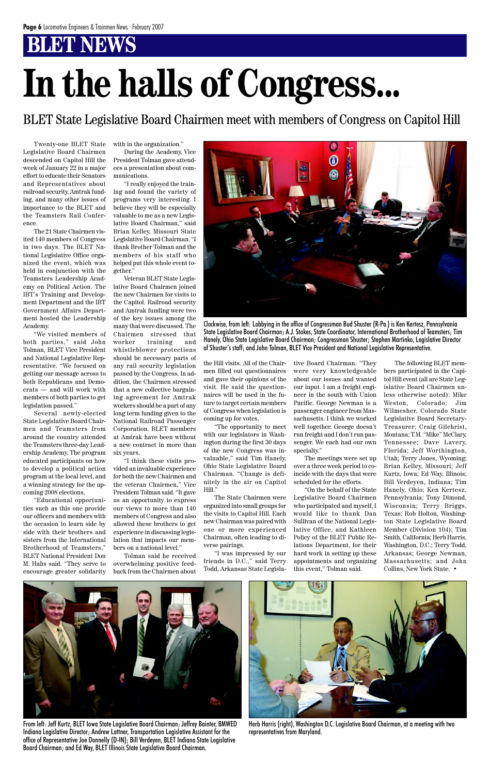BLET State Legislative Board Chairmen meet with members of Congress on Capitol Hill

# **In the halls of Congress...**

Twenty-one BLET State Legislative Board Chairmen descended on Capitol Hill the week of January 22 in a major effort to educate their Senators and Representatives about railroad security, Amtrak funding, and many other issues of importance to the BLET and the Teamsters Rail Conference.

The 21 State Chairmen visited 140 members of Congress in two days. The BLET National Legislative Office organized the event, which was held in conjunction with the Teamsters Leadership Academy on Political Action. The IBT's Training and Development Department and the IBT Government Affairs Department hosted the Leadership Academy.

"We visited members of both parties," said John Tolman, BLET Vice President and National Legislative Representative. "We focused on getting our message across to both Republicans and Democrats — and will work with members of both parties to get legislation passed."

Several newly-elected State Legislative Board Chairmen and Teamsters from around the country attended the Teamsters three-day Leadership Academy. The program educated participants on how to develop a political action program at the local level, and a winning strategy for the upcoming 2008 elections.

"Educational opportunities such as this one provide our officers and members with the occasion to learn side by side with their brothers and sisters from the International Brotherhood of Teamsters," BLET National President Don M. Hahs said. "They serve to with in the organization."

During the Academy, Vice President Tolman gave attendees a presentation about communications.

"I really enjoyed the training and found the variety of programs very interesting. I believe they will be especially valuable to me as a new Legislative Board Chairman," said Brian Kelley, Missouri State Legislative Board Chairman. "I thank Brother Tolman and the members of his staff who helped put this whole event together."



Veteran BLET State Legislative Board Chairmen joined the new Chairmen for visits to the Capitol. Railroad security and Amtrak funding were two of the key issues among the many that were discussed. The Chairmen stressed that worker training and whistleblower protections should be necessary parts of any rail security legislation passed by the Congress. In addition, the Chairmen stressed that a new collective bargaining agreement for Amtrak workers should be a part of any long term funding given to the National Railroad Passenger Corporation. BLET members at Amtrak have been without a new contract in more than six years.

"I think these visits provided an invaluable experience for both the new Chairmen and the veteran Chairmen," Vice President Tolman said. "It gave us an opportunity to express our views to more than 140 members of Congress and also allowed these brothers to get experience in discussing legislation that impacts our members on a national level."

Tolman said he received overwhelming positive feed-

the Hill visits. All of the Chairmen filled out questionnaires and gave their opinions of the visit. He said the questionnaires will be used in the future to target certain members of Congress when legislation is coming up for votes.

"The opportunity to meet with our legislators in Washington during the first 30 days of the new Congress was invaluable," said Tim Hanely, Ohio State Legislative Board Chairman. "Change is definitely in the air on Capitol Hill."

The State Chairmen were organized into small groups for the visits to Capitol Hill. Each new Chairman was paired with one or more experienced Chairman, often leading to diverse pairings.

"I was impressed by our friends in D.C.," said Terry Todd, Arkansas State Legislative Board Chairman. "They were very knowledgeable about our issues and wanted our input. I am a freight engineer in the south with Union Pacific. George Newman is a passenger engineer from Massachusetts. I think we worked well together. George doesn't run freight and I don't run passenger. We each had our own specialty."

The meetings were set up over a three week period to coincide with the days that were scheduled for the efforts.

"On the behalf of the State Legislative Board Chairmen who participated and myself, I would like to thank Dan Sullivan of the National Legislative Office, and Kathleen Policy of the BLET Public Relations Department, for their hard work in setting up these appointments and organizing this event," Tolman said.

The following BLET members participated in the Capitol Hill event (all are State Legislative Board Chairmen unless otherwise noted): Mike Weston, Colorado; Jim Wilmesher, Colorado State Legislative Board Secretary-Treasurer; Craig Gilchrist, Montana; T.M. "Mike" McClary, Tennessee; Dave Lavery, Florida; Jeff Worthington, Utah; Terry Jones, Wyoming; Brian Kelley, Missouri; Jeff Kurtz, Iowa; Ed Way, Illinois; Bill Verdeyen, Indiana; Tim Hanely, Ohio; Ken Kertesz, Pennsylvania; Tony Dimond, Wisconsin; Terry Briggs, Texas; Rob Holton, Washington State Legislative Board Member (Division 104); Tim Smith, California; Herb Harris, Washington, D.C.; Terry Todd, Arkansas; George Newman, Massachusetts; and John Collins, New York State. •



Clockwise, from left: Lobbying in the office of Congressman Bud Shuster (R-Pa.) is Ken Kertesz, Pennsylvania State Legislative Board Chairman; A.J. Stokes, State Coordinator, International Brotherhood of Teamsters; Tim Hanely, Ohio State Legislative Board Chairman; Congressman Shuster; Stephen Martinko, Legislative Director of Shuster's staff; and John Tolman, BLET Vice President and National Legislative Representative.

From left: Jeff Kurtz, BLET Iowa State Legislative Board Chairman; Jeffrey Bainter, BMWED Indiana Legislative Director; Andrew Lattner, Transportation Legislative Assistant for the office of Representative Joe Donnelly (D-IN); Bill Verdeyen, BLET Indiana State Legislative Board Chairman; and Ed Way, BLET Illinois State Legislative Board Chairman.



Herb Harris (right), Washington D.C. Legislative Board Chairman, at a meeting with two representatives from Maryland.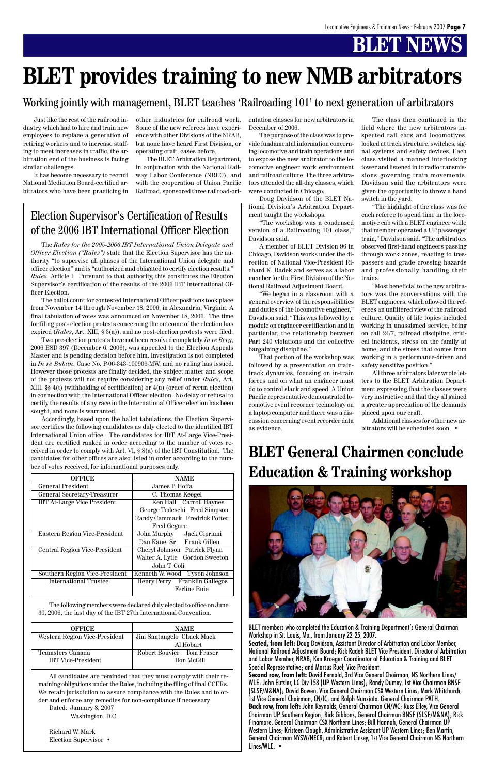### Election Supervisor's Certification of Results of the 2006 IBT International Officer Election

The *Rules for the 2005-2006 IBT International Union Delegate and Officer Election ("Rules")* state that the Election Supervisor has the authority "to supervise all phases of the International Union delegate and officer election" and is "authorized and obligated to certify election results." *Rules*, Article I. Pursuant to that authority, this constitutes the Election Supervisor's certification of the results of the 2006 IBT International Officer Election.

The ballot count for contested International Officer positions took place from November 14 through November 18, 2006, in Alexandria, Virginia. A final tabulation of votes was announced on November 18, 2006. The time for filing post- election protests concerning the outcome of the election has expired (*Rules*, Art. XIII, § 3(a)), and no post-election protests were filed.

Two pre-election protests have not been resolved completely. *In re Berg*, 2006 ESD 397 (December 6, 2006), was appealed to the Election Appeals Master and is pending decision before him. Investigation is not completed in *In re Buban*, Case No. P-06-343-100906-MW, and no ruling has issued. However those protests are finally decided, the subject matter and scope of the protests will not require considering any relief under *Rules*, Art. XIII, §§ 4(t) (withholding of certification) or 4(u) (order of rerun election) in connection with the International Officer election. No delay or refusal to certify the results of any race in the International Officer election has been sought, and none is warranted.

Accordingly, based upon the ballot tabulations, the Election Supervisor certifies the following candidates as duly elected to the identified IBT International Union office. The candidates for IBT At-Large Vice-President are certified ranked in order according to the number of votes received in order to comply with Art. VI, § 8(a) of the IBT Constitution. The candidates for other offices are also listed in order according to the number of votes received, for informational purposes only.

| <b>OFFICE</b>                        | <b>NAME</b>                    |
|--------------------------------------|--------------------------------|
| <b>General President</b>             | James P. Hoffa                 |
| General Secretary-Treasurer          | C. Thomas Keegel               |
| <b>IBT At-Large Vice President</b>   | Ken Hall Carroll Haynes        |
|                                      | George Tedeschi Fred Simpson   |
|                                      | Randy Cammack Fredrick Potter  |
|                                      | <b>Fred Gegare</b>             |
| <b>Eastern Region Vice-President</b> | John Murphy Jack Cipriani      |
|                                      | Dan Kane, Sr. Frank Gillen     |
| Central Region Vice-President        | Cheryl Johnson Patrick Flynn   |
|                                      | Walter A. Lytle Gordon Sweeton |
|                                      | John T. Coli                   |
| Southern Region Vice-President       | Kenneth W. Wood Tyson Johnson  |
| <b>International Trustee</b>         | Henry Perry Franklin Gallegos  |
|                                      | <b>Ferline Buie</b>            |

The following members were declared duly elected to office on June 30, 2006, the last day of the IBT 27th International Convention.

| <b>OFFICE</b>                 | <b>NAME</b>               |
|-------------------------------|---------------------------|
| Western Region Vice-President | Jim Santangelo Chuck Mack |
|                               | Al Hobart                 |
| Teamsters Canada              | Robert Bouvier Tom Fraser |
| <b>IBT</b> Vice-President     | Don McGill                |

All candidates are reminded that they must comply with their remaining obligations under the Rules, including the filing of final CCERs. We retain jurisdiction to assure compliance with the Rules and to order and enforce any remedies for non-compliance if necessary.

Dated: January 8, 2007 Washington, D.C.

Richard W. Mark Election Supervisor •

Just like the rest of the railroad industry, which had to hire and train new employees to replace a generation of retiring workers and to increase staffing to meet increases in traffic, the arbitration end of the business is facing similar challenges.

It has become necessary to recruit National Mediation Board-certified arbitrators who have been practicing in other industries for railroad work. Some of the new referees have experience with other Divisions of the NRAB, but none have heard First Division, or operating craft, cases before.

The BLET Arbitration Department, in conjunction with the National Railway Labor Conference (NRLC), and with the cooperation of Union Pacific Railroad, sponsored three railroad-orientation classes for new arbitrators in December of 2006.

The purpose of the class was to provide fundamental information concerning locomotive and train operations and to expose the new arbitrator to the locomotive engineer work environment and railroad culture. The three arbitrators attended the all-day classes, which were conducted in Chicago.

Doug Davidson of the BLET National Division's Arbitration Department taught the workshops.

"The workshop was a condensed version of a Railroading 101 class," Davidson said.

A member of BLET Division 96 in Chicago, Davidson works under the direction of National Vice-President Richard K. Radek and serves as a labor member for the First Division of the National Railroad Adjustment Board.

"We began in a classroom with a general overview of the responsibilities and duties of the locomotive engineer," Davidson said. "This was followed by a module on engineer certification and in particular, the relationship between Part 240 violations and the collective bargaining discipline."

That portion of the workshop was followed by a presentation on traintrack dynamics, focusing on in-train forces and on what an engineer must do to control slack and speed. A Union Pacific representative demonstrated locomotive event recorder technology on a laptop computer and there was a discussion concerning event recorder data as evidence.

The class then continued in the field where the new arbitrators inspected rail cars and locomotives, looked at track structure, switches, signal systems and safety devices. Each class visited a manned interlocking tower and listened in to radio transmissions governing train movements. Davidson said the arbitrators were given the opportunity to throw a hand switch in the yard.

"The highlight of the class was for each referee to spend time in the locomotive cab with a BLET engineer while that member operated a UP passenger train," Davidson said. "The arbitrators observed first-hand engineers passing through work zones, reacting to trespassers and grade crossing hazards and professionally handling their trains.

"Most beneficial to the new arbitrators was the conversations with the BLET engineers, which allowed the referees an unfiltered view of the railroad culture. Quality of life topics included working in unassigned service, being on call 24/7, railroad discipline, critical incidents, stress on the family at home, and the stress that comes from working in a performance-driven and safety sensitive position."

All three arbitrators later wrote letters to the BLET Arbitration Department expressing that the classes were very instructive and that they all gained a greater appreciation of the demands placed upon our craft.

Additional classes for other new arbitrators will be scheduled soon. •

# **BLET provides training to new NMB arbitrators**

### Working jointly with management, BLET teaches 'Railroading 101' to next generation of arbitrators

# **BLET General Chairmen conclude Education & Training workshop**



BLET members who completed the Education & Training Department's General Chairman Workshop in St. Louis, Mo., from January 22-25, 2007.

**Seated, from left:** Doug Davidson, Assistant Director of Arbitration and Labor Member, National Railroad Adjustment Board; Rick Radek BLET Vice President, Director of Arbitration and Labor Member, NRAB; Ken Kroeger Coordinator of Education & Training and BLET Special Representative; and Marcus Ruef, Vice President.

**Second row, from left:** David Fernald, 3rd Vice General Chairman, NS Northern Lines/ WLE; John Eutsler, LC Div 158 (UP Western Lines); Randy Dumey, 1st Vice Chairman BNSF (SLSF/M&NA); David Bowen, Vice General Chairman CSX Western Lines; Mark Whitchurch, 1st Vice General Chairman, CN/IC; and Ralph Nunziato, General Chairman PATH. **Back row, from left:** John Reynolds, General Chairman CN/WC; Russ Elley, Vice General Chairman UP Southern Region; Rick Gibbons, General Chairman BNSF (SLSF/M&NA); Rick Finamore, General Chairman CSX Northern Lines; Bill Hannah, General Chairman UP Western Lines; Kristeen Clough, Administrative Assistant UP Western Lines; Ben Martin, General Chairman NYSW/NECR; and Robert Linsey, 1st Vice General Chairman NS Northern Lines/WLE. •